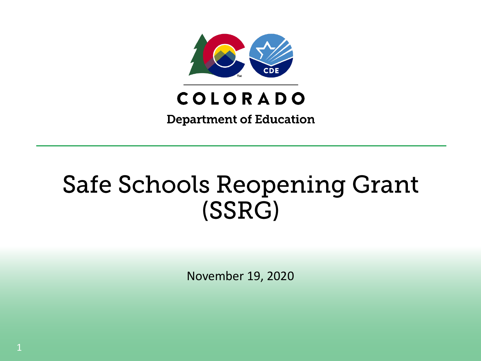

## COLORADO

**Department of Education** 

# **Safe Schools Reopening Grant** (SSRG)

November 19, 2020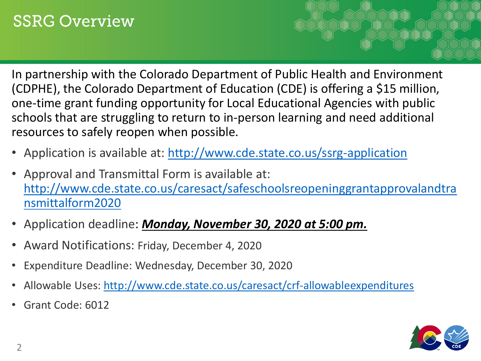### **SSRG Overview**

In partnership with the Colorado Department of Public Health and Environment (CDPHE), the Colorado Department of Education (CDE) is offering a \$15 million, one-time grant funding opportunity for Local Educational Agencies with public schools that are struggling to return to in-person learning and need additional resources to safely reopen when possible.

- Application is available at:<http://www.cde.state.co.us/ssrg-application>
- Approval and Transmittal Form is available at: [http://www.cde.state.co.us/caresact/safeschoolsreopeninggrantapprovalandtra](http://www.cde.state.co.us/caresact/safeschoolsreopeninggrantapprovalandtransmittalform2020) nsmittalform2020
- Application deadline: *Monday, November 30, 2020 at 5:00 pm.*
- Award Notifications: Friday, December 4, 2020
- Expenditure Deadline: Wednesday, December 30, 2020
- Allowable Uses:<http://www.cde.state.co.us/caresact/crf-allowableexpenditures>
- Grant Code: 6012

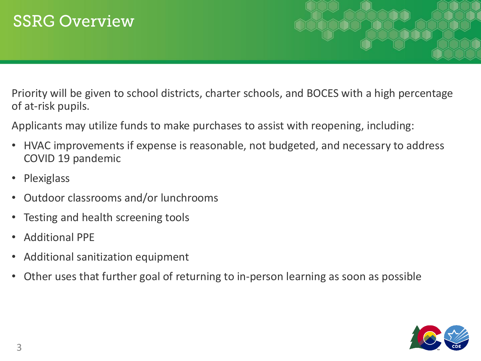Priority will be given to school districts, charter schools, and BOCES with a high percentage of at-risk pupils.

Applicants may utilize funds to make purchases to assist with reopening, including:

- HVAC improvements if expense is reasonable, not budgeted, and necessary to address COVID 19 pandemic
- Plexiglass
- Outdoor classrooms and/or lunchrooms
- Testing and health screening tools
- Additional PPE
- Additional sanitization equipment
- Other uses that further goal of returning to in-person learning as soon as possible

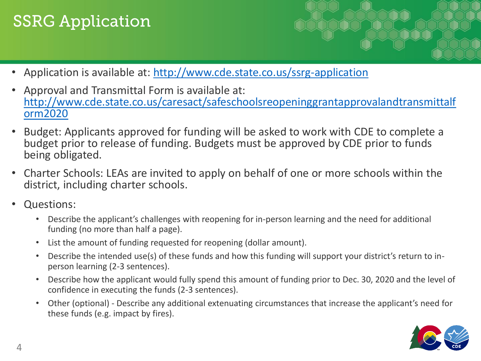# **SSRG Application**

- 
- Application is available at:<http://www.cde.state.co.us/ssrg-application>
- Approval and Transmittal Form is available at: [http://www.cde.state.co.us/caresact/safeschoolsreopeninggrantapprovalandtransmittalf](http://www.cde.state.co.us/caresact/safeschoolsreopeninggrantapprovalandtransmittalform2020) orm2020
- Budget: Applicants approved for funding will be asked to work with CDE to complete a budget prior to release of funding. Budgets must be approved by CDE prior to funds being obligated.
- Charter Schools: LEAs are invited to apply on behalf of one or more schools within the district, including charter schools.
- Questions:
	- Describe the applicant's challenges with reopening for in-person learning and the need for additional funding (no more than half a page).
	- List the amount of funding requested for reopening (dollar amount).
	- Describe the intended use(s) of these funds and how this funding will support your district's return to inperson learning (2-3 sentences).
	- Describe how the applicant would fully spend this amount of funding prior to Dec. 30, 2020 and the level of confidence in executing the funds (2-3 sentences).
	- Other (optional) Describe any additional extenuating circumstances that increase the applicant's need for these funds (e.g. impact by fires).

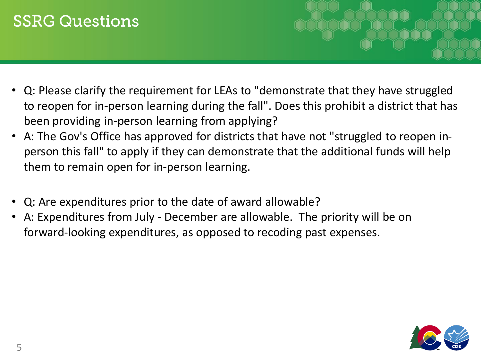### **SSRG Questions**

- Q: Please clarify the requirement for LEAs to "demonstrate that they have struggled to reopen for in-person learning during the fall". Does this prohibit a district that has been providing in-person learning from applying?
- A: The Gov's Office has approved for districts that have not "struggled to reopen inperson this fall" to apply if they can demonstrate that the additional funds will help them to remain open for in-person learning.
- Q: Are expenditures prior to the date of award allowable?
- A: Expenditures from July December are allowable. The priority will be on forward-looking expenditures, as opposed to recoding past expenses.